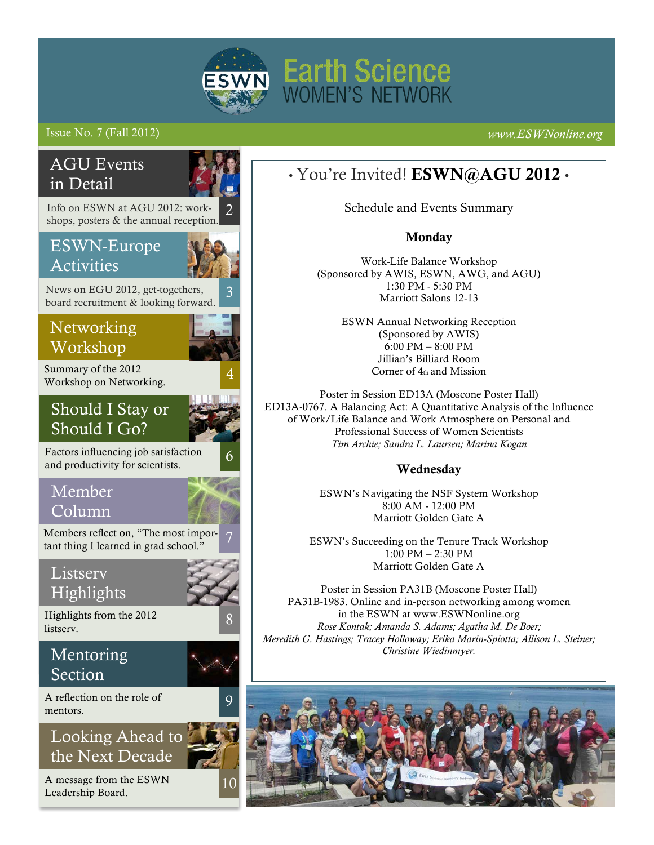

# Issue No. 7 (Fall 2012) *www.ESWNonline.org*

# Networking Workshop Summary of the 2012 Workshop on Networking. 2 AGU Events in Detail Member Column Members reflect on, "The most important thing I learned in grad school." **Listserv Highlights** Info on ESWN at AGU 2012: workshops, posters & the annual reception. Mentoring Section 8 6 Looking Ahead to the Next Decade 9 10 Highlights from the 2012 listserv. A message from the ESWN A reflection on the role of mentors. Should I Stay or Should I Go? Factors influencing job satisfaction and productivity for scientists. 3 ESWN-Europe Activities News on EGU 2012, get-togethers, board recruitment & looking forward.

Leadership Board.

# • You're Invited! ESWN@AGU 2012 •

Schedule and Events Summary

## Monday

Work-Life Balance Workshop (Sponsored by AWIS, ESWN, AWG, and AGU) 1:30 PM - 5:30 PM Marriott Salons 12-13

> ESWN Annual Networking Reception (Sponsored by AWIS) 6:00 PM – 8:00 PM Jillian's Billiard Room Corner of 4th and Mission

Poster in Session ED13A (Moscone Poster Hall) ED13A-0767. A Balancing Act: A Quantitative Analysis of the Influence of Work/Life Balance and Work Atmosphere on Personal and Professional Success of Women Scientists *Tim Archie; Sandra L. Laursen; Marina Kogan*

## Wednesday

ESWN's Navigating the NSF System Workshop 8:00 AM - 12:00 PM Marriott Golden Gate A

ESWN's Succeeding on the Tenure Track Workshop 1:00 PM – 2:30 PM Marriott Golden Gate A

Poster in Session PA31B (Moscone Poster Hall) PA31B-1983. Online and in-person networking among women in the ESWN at www.ESWNonline.org *Rose Kontak; Amanda S. Adams; Agatha M. De Boer; Meredith G. Hastings; Tracey Holloway; Erika Marin-Spiotta; Allison L. Steiner; Christine Wiedinmyer.*

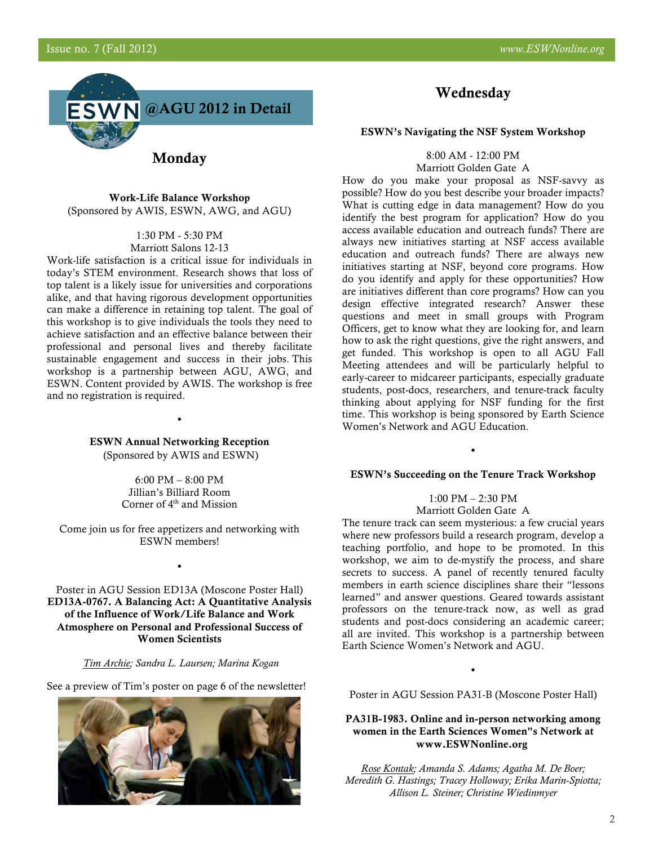

**Monday** 

Work-Life Balance Workshop (Sponsored by AWIS, ESWN, AWG, and AGU)

> 1:30 PM - 5:30 PM Marriott Salons 12-13

Work-life satisfaction is a critical issue for individuals in today's STEM environment. Research shows that loss of top talent is a likely issue for universities and corporations alike, and that having rigorous development opportunities can make a difference in retaining top talent. The goal of this workshop is to give individuals the tools they need to achieve satisfaction and an effective balance between their professional and personal lives and thereby facilitate sustainable engagement and success in their jobs. This workshop is a partnership between AGU, AWG, and ESWN. Content provided by AWIS. The workshop is free and no registration is required.

> ESWN Annual Networking Reception (Sponsored by AWIS and ESWN)

•

6:00 PM – 8:00 PM Jillian's Billiard Room Corner of  $4<sup>th</sup>$  and Mission

Come join us for free appetizers and networking with ESWN members!

•

Poster in AGU Session ED13A (Moscone Poster Hall) ED13A-0767. A Balancing Act: A Quantitative Analysis of the Influence of Work/Life Balance and Work Atmosphere on Personal and Professional Success of Women Scientists

#### *Tim Archie; Sandra L. Laursen; Marina Kogan*

See a preview of Tim's poster on page 6 of the newsletter!



# Wednesday

#### ESWN's Navigating the NSF System Workshop

8:00 AM - 12:00 PM Marriott Golden Gate A

How do you make your proposal as NSF-savvy as possible? How do you best describe your broader impacts? What is cutting edge in data management? How do you identify the best program for application? How do you access available education and outreach funds? There are always new initiatives starting at NSF access available education and outreach funds? There are always new initiatives starting at NSF, beyond core programs. How do you identify and apply for these opportunities? How are initiatives different than core programs? How can you design effective integrated research? Answer these questions and meet in small groups with Program Officers, get to know what they are looking for, and learn how to ask the right questions, give the right answers, and get funded. This workshop is open to all AGU Fall Meeting attendees and will be particularly helpful to early-career to midcareer participants, especially graduate students, post-docs, researchers, and tenure-track faculty thinking about applying for NSF funding for the first time. This workshop is being sponsored by Earth Science Women's Network and AGU Education.

#### ESWN's Succeeding on the Tenure Track Workshop

•

1:00 PM – 2:30 PM

Marriott Golden Gate A

The tenure track can seem mysterious: a few crucial years where new professors build a research program, develop a teaching portfolio, and hope to be promoted. In this workshop, we aim to de-mystify the process, and share secrets to success. A panel of recently tenured faculty members in earth science disciplines share their "lessons learned" and answer questions. Geared towards assistant professors on the tenure-track now, as well as grad students and post-docs considering an academic career; all are invited. This workshop is a partnership between Earth Science Women's Network and AGU.

Poster in AGU Session PA31-B (Moscone Poster Hall)

•

#### PA31B-1983. Online and in-person networking among women in the Earth Sciences Women"s Network at www.ESWNonline.org

*Rose Kontak; Amanda S. Adams; Agatha M. De Boer; Meredith G. Hastings; Tracey Holloway; Erika Marin-Spiotta; Allison L. Steiner; Christine Wiedinmyer*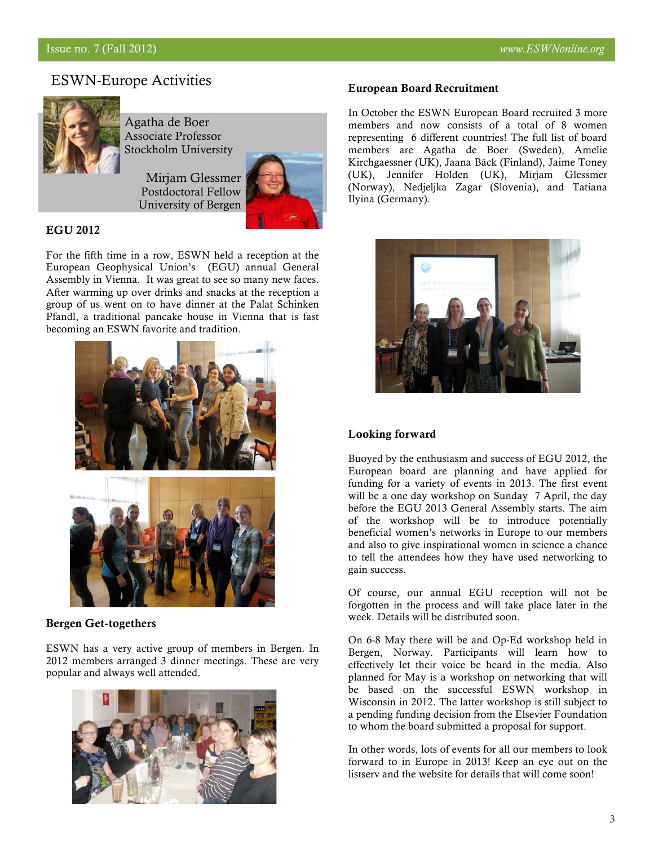# ESWN-Europe Activities



Agatha de Boer Associate Professor Stockholm University

> Mirjam Glessmer Postdoctoral Fellow University of Bergen



#### EGU 2012

For the fifth time in a row, ESWN held a reception at the European Geophysical Union's (EGU) annual General Assembly in Vienna. It was great to see so many new faces. After warming up over drinks and snacks at the reception a group of us went on to have dinner at the Palat Schinken Pfandl, a traditional pancake house in Vienna that is fast becoming an ESWN favorite and tradition.



#### Bergen Get-togethers

ESWN has a very active group of members in Bergen. In 2012 members arranged 3 dinner meetings. These are very popular and always well attended.



### European Board Recruitment

In October the ESWN European Board recruited 3 more members and now consists of a total of 8 women representing 6 different countries! The full list of board members are Agatha de Boer (Sweden), Amelie Kirchgaessner (UK), Jaana Bäck (Finland), Jaime Toney (UK), Jennifer Holden (UK), Mirjam Glessmer (Norway), Nedjeljka Zagar (Slovenia), and Tatiana Ilyina (Germany).



### Looking forward

Buoyed by the enthusiasm and success of EGU 2012, the European board are planning and have applied for funding for a variety of events in 2013. The first event will be a one day workshop on Sunday 7 April, the day before the EGU 2013 General Assembly starts. The aim of the workshop will be to introduce potentially beneficial women's networks in Europe to our members and also to give inspirational women in science a chance to tell the attendees how they have used networking to gain success.

Of course, our annual EGU reception will not be forgotten in the process and will take place later in the week. Details will be distributed soon.

On 6-8 May there will be and Op-Ed workshop held in Bergen, Norway. Participants will learn how to effectively let their voice be heard in the media. Also planned for May is a workshop on networking that will be based on the successful ESWN workshop in Wisconsin in 2012. The latter workshop is still subject to a pending funding decision from the Elsevier Foundation to whom the board submitted a proposal for support.

In other words, lots of events for all our members to look forward to in Europe in 2013! Keep an eye out on the listserv and the website for details that will come soon!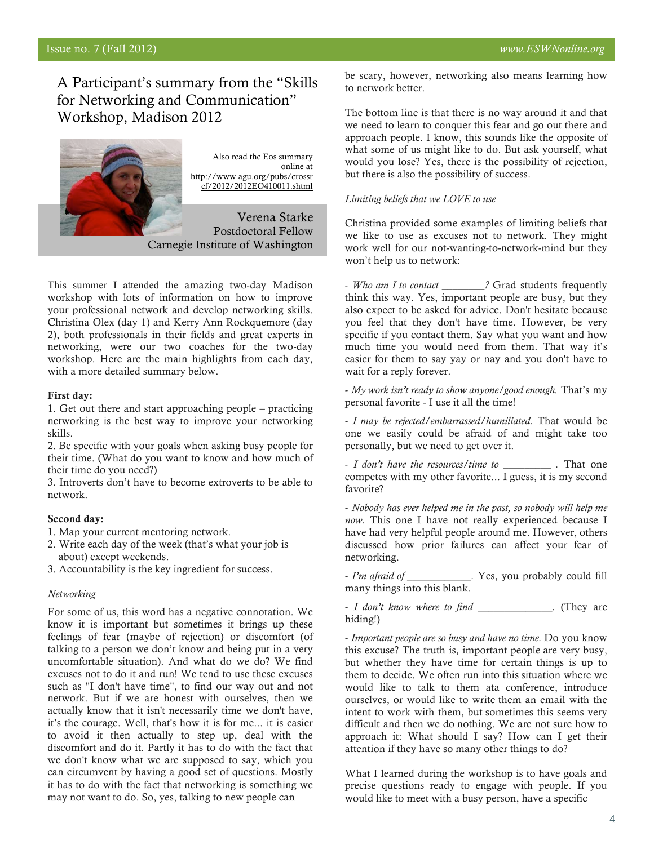# A Participant's summary from the "Skills for Networking and Communication" Workshop, Madison 2012



This summer I attended the amazing two-day Madison workshop with lots of information on how to improve your professional network and develop networking skills. Christina Olex (day 1) and Kerry Ann Rockquemore (day 2), both professionals in their fields and great experts in networking, were our two coaches for the two-day workshop. Here are the main highlights from each day, with a more detailed summary below.

#### First day:

1. Get out there and start approaching people – practicing networking is the best way to improve your networking skills.

2. Be specific with your goals when asking busy people for their time. (What do you want to know and how much of their time do you need?)

3. Introverts don't have to become extroverts to be able to network.

#### Second day:

- 1. Map your current mentoring network.
- 2. Write each day of the week (that's what your job is about) except weekends.

3. Accountability is the key ingredient for success.

#### *Networking*

For some of us, this word has a negative connotation. We know it is important but sometimes it brings up these feelings of fear (maybe of rejection) or discomfort (of talking to a person we don't know and being put in a very uncomfortable situation). And what do we do? We find excuses not to do it and run! We tend to use these excuses such as "I don't have time", to find our way out and not network. But if we are honest with ourselves, then we actually know that it isn't necessarily time we don't have, it's the courage. Well, that's how it is for me... it is easier to avoid it then actually to step up, deal with the discomfort and do it. Partly it has to do with the fact that we don't know what we are supposed to say, which you can circumvent by having a good set of questions. Mostly it has to do with the fact that networking is something we may not want to do. So, yes, talking to new people can

be scary, however, networking also means learning how to network better.

The bottom line is that there is no way around it and that we need to learn to conquer this fear and go out there and approach people. I know, this sounds like the opposite of what some of us might like to do. But ask yourself, what would you lose? Yes, there is the possibility of rejection, but there is also the possibility of success.

#### *Limiting beliefs that we LOVE to use*

Christina provided some examples of limiting beliefs that we like to use as excuses not to network. They might work well for our not-wanting-to-network-mind but they won't help us to network:

- *Who am I to contact \_\_\_\_\_\_\_\_?* Grad students frequently think this way. Yes, important people are busy, but they also expect to be asked for advice. Don't hesitate because you feel that they don't have time. However, be very specific if you contact them. Say what you want and how much time you would need from them. That way it's easier for them to say yay or nay and you don't have to wait for a reply forever.

- *My work isn't ready to show anyone/good enough.* That's my personal favorite - I use it all the time!

- *I may be rejected/embarrassed/humiliated.* That would be one we easily could be afraid of and might take too personally, but we need to get over it.

- *I don't have the resources/time to \_\_\_\_\_\_\_\_\_ .* That one competes with my other favorite... I guess, it is my second favorite?

- *Nobody has ever helped me in the past, so nobody will help me now.* This one I have not really experienced because I have had very helpful people around me. However, others discussed how prior failures can affect your fear of networking.

- *I'm afraid of \_\_\_\_\_\_\_\_\_\_\_\_.* Yes, you probably could fill many things into this blank.

- *I don't know where to find \_\_\_\_\_\_\_\_\_\_\_\_\_\_.* (They are hiding!)

- *Important people are so busy and have no time.* Do you know this excuse? The truth is, important people are very busy, but whether they have time for certain things is up to them to decide. We often run into this situation where we would like to talk to them ata conference, introduce ourselves, or would like to write them an email with the intent to work with them, but sometimes this seems very difficult and then we do nothing. We are not sure how to approach it: What should I say? How can I get their attention if they have so many other things to do?

What I learned during the workshop is to have goals and precise questions ready to engage with people. If you would like to meet with a busy person, have a specific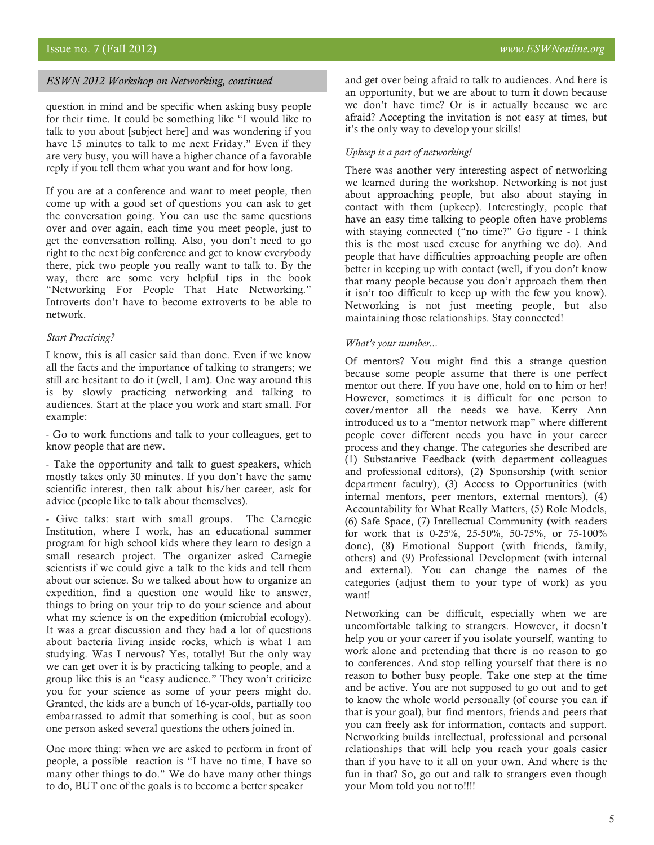#### *ESWN 2012 Workshop on Networking, continued*

question in mind and be specific when asking busy people for their time. It could be something like "I would like to talk to you about [subject here] and was wondering if you have 15 minutes to talk to me next Friday." Even if they are very busy, you will have a higher chance of a favorable reply if you tell them what you want and for how long.

If you are at a conference and want to meet people, then come up with a good set of questions you can ask to get the conversation going. You can use the same questions over and over again, each time you meet people, just to get the conversation rolling. Also, you don't need to go right to the next big conference and get to know everybody there, pick two people you really want to talk to. By the way, there are some very helpful tips in the book "Networking For People That Hate Networking." Introverts don't have to become extroverts to be able to network.

#### *Start Practicing?*

I know, this is all easier said than done. Even if we know all the facts and the importance of talking to strangers; we still are hesitant to do it (well, I am). One way around this is by slowly practicing networking and talking to audiences. Start at the place you work and start small. For example:

- Go to work functions and talk to your colleagues, get to know people that are new.

- Take the opportunity and talk to guest speakers, which mostly takes only 30 minutes. If you don't have the same scientific interest, then talk about his/her career, ask for advice (people like to talk about themselves).

- Give talks: start with small groups. The Carnegie Institution, where I work, has an educational summer program for high school kids where they learn to design a small research project. The organizer asked Carnegie scientists if we could give a talk to the kids and tell them about our science. So we talked about how to organize an expedition, find a question one would like to answer, things to bring on your trip to do your science and about what my science is on the expedition (microbial ecology). It was a great discussion and they had a lot of questions about bacteria living inside rocks, which is what I am studying. Was I nervous? Yes, totally! But the only way we can get over it is by practicing talking to people, and a group like this is an "easy audience." They won't criticize you for your science as some of your peers might do. Granted, the kids are a bunch of 16-year-olds, partially too embarrassed to admit that something is cool, but as soon one person asked several questions the others joined in.

One more thing: when we are asked to perform in front of people, a possible reaction is "I have no time, I have so many other things to do." We do have many other things to do, BUT one of the goals is to become a better speaker

and get over being afraid to talk to audiences. And here is an opportunity, but we are about to turn it down because we don't have time? Or is it actually because we are afraid? Accepting the invitation is not easy at times, but it's the only way to develop your skills!

#### *Upkeep is a part of networking!*

There was another very interesting aspect of networking we learned during the workshop. Networking is not just about approaching people, but also about staying in contact with them (upkeep). Interestingly, people that have an easy time talking to people often have problems with staying connected ("no time?" Go figure - I think this is the most used excuse for anything we do). And people that have difficulties approaching people are often better in keeping up with contact (well, if you don't know that many people because you don't approach them then it isn't too difficult to keep up with the few you know). Networking is not just meeting people, but also maintaining those relationships. Stay connected!

#### *What's your number...*

Of mentors? You might find this a strange question because some people assume that there is one perfect mentor out there. If you have one, hold on to him or her! However, sometimes it is difficult for one person to cover/mentor all the needs we have. Kerry Ann introduced us to a "mentor network map" where different people cover different needs you have in your career process and they change. The categories she described are (1) Substantive Feedback (with department colleagues and professional editors), (2) Sponsorship (with senior department faculty), (3) Access to Opportunities (with internal mentors, peer mentors, external mentors), (4) Accountability for What Really Matters, (5) Role Models, (6) Safe Space, (7) Intellectual Community (with readers for work that is 0-25%, 25-50%, 50-75%, or 75-100% done), (8) Emotional Support (with friends, family, others) and (9) Professional Development (with internal and external). You can change the names of the categories (adjust them to your type of work) as you want!

Networking can be difficult, especially when we are uncomfortable talking to strangers. However, it doesn't help you or your career if you isolate yourself, wanting to work alone and pretending that there is no reason to go to conferences. And stop telling yourself that there is no reason to bother busy people. Take one step at the time and be active. You are not supposed to go out and to get to know the whole world personally (of course you can if that is your goal), but find mentors, friends and peers that you can freely ask for information, contacts and support. Networking builds intellectual, professional and personal relationships that will help you reach your goals easier than if you have to it all on your own. And where is the fun in that? So, go out and talk to strangers even though your Mom told you not to!!!!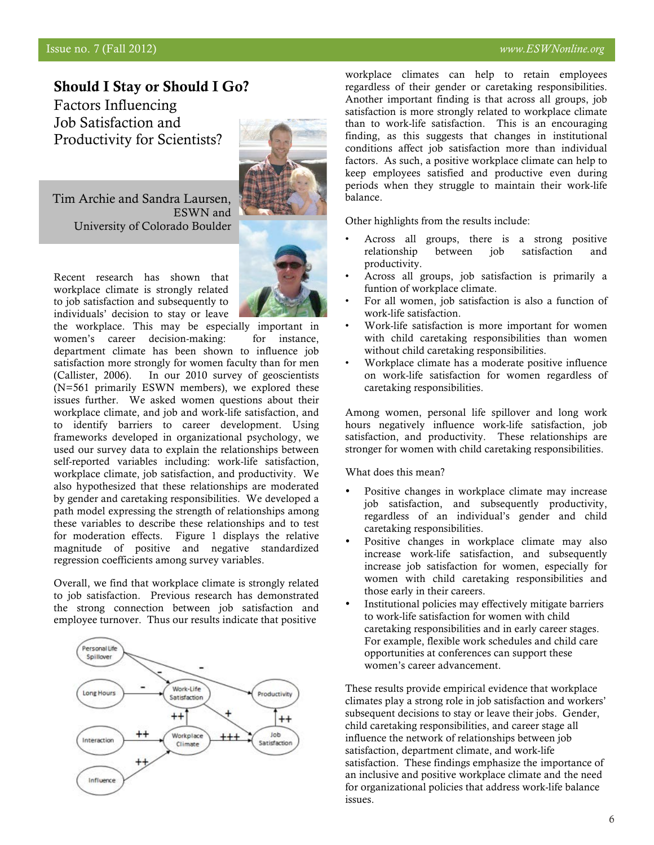### Issue no. 7 (Fall 2012) *www.ESWNonline.org*

## Should I Stay or Should I Go?

Factors Influencing Job Satisfaction and Productivity for Scientists?

Tim Archie and Sandra Laursen, ESWN and University of Colorado Boulder

Recent research has shown that workplace climate is strongly related to job satisfaction and subsequently to individuals' decision to stay or leave the workplace. This may be especially important in

women's career decision-making: for instance, department climate has been shown to influence job satisfaction more strongly for women faculty than for men (Callister, 2006). In our 2010 survey of geoscientists (N=561 primarily ESWN members), we explored these issues further. We asked women questions about their workplace climate, and job and work-life satisfaction, and to identify barriers to career development. Using frameworks developed in organizational psychology, we used our survey data to explain the relationships between self-reported variables including: work-life satisfaction, workplace climate, job satisfaction, and productivity. We also hypothesized that these relationships are moderated by gender and caretaking responsibilities. We developed a path model expressing the strength of relationships among these variables to describe these relationships and to test for moderation effects. Figure 1 displays the relative magnitude of positive and negative standardized regression coefficients among survey variables.

Overall, we find that workplace climate is strongly related to job satisfaction. Previous research has demonstrated the strong connection between job satisfaction and employee turnover. Thus our results indicate that positive



workplace climates can help to retain employees regardless of their gender or caretaking responsibilities. Another important finding is that across all groups, job satisfaction is more strongly related to workplace climate than to work-life satisfaction. This is an encouraging finding, as this suggests that changes in institutional conditions affect job satisfaction more than individual factors. As such, a positive workplace climate can help to keep employees satisfied and productive even during periods when they struggle to maintain their work-life balance.

Other highlights from the results include:

- Across all groups, there is a strong positive relationship between job satisfaction and productivity.
- Across all groups, job satisfaction is primarily a funtion of workplace climate.
- For all women, job satisfaction is also a function of work-life satisfaction.
- Work-life satisfaction is more important for women with child caretaking responsibilities than women without child caretaking responsibilities.
- Workplace climate has a moderate positive influence on work-life satisfaction for women regardless of caretaking responsibilities.

Among women, personal life spillover and long work hours negatively influence work-life satisfaction, job satisfaction, and productivity. These relationships are stronger for women with child caretaking responsibilities.

What does this mean?

- Positive changes in workplace climate may increase job satisfaction, and subsequently productivity, regardless of an individual's gender and child caretaking responsibilities.
- Positive changes in workplace climate may also increase work-life satisfaction, and subsequently increase job satisfaction for women, especially for women with child caretaking responsibilities and those early in their careers.
- Institutional policies may effectively mitigate barriers to work-life satisfaction for women with child caretaking responsibilities and in early career stages. For example, flexible work schedules and child care opportunities at conferences can support these women's career advancement.

These results provide empirical evidence that workplace climates play a strong role in job satisfaction and workers' subsequent decisions to stay or leave their jobs. Gender, child caretaking responsibilities, and career stage all influence the network of relationships between job satisfaction, department climate, and work-life satisfaction. These findings emphasize the importance of an inclusive and positive workplace climate and the need for organizational policies that address work-life balance issues.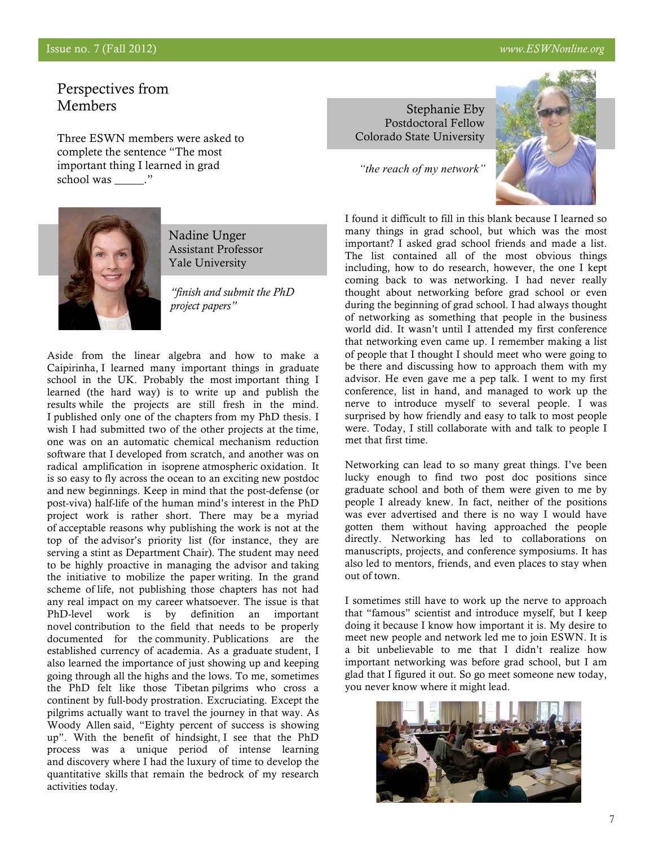# Perspectives from Members

Three ESWN members were asked to complete the sentence "The most important thing I learned in grad school was  $\qquad$ ."



Nadine Unger Assistant Professor Yale University

*"finish and submit the PhD project papers"*

Aside from the linear algebra and how to make a Caipirinha, I learned many important things in graduate school in the UK. Probably the most important thing I learned (the hard way) is to write up and publish the results while the projects are still fresh in the mind. I published only one of the chapters from my PhD thesis. I wish I had submitted two of the other projects at the time, one was on an automatic chemical mechanism reduction software that I developed from scratch, and another was on radical amplification in isoprene atmospheric oxidation. It is so easy to fly across the ocean to an exciting new postdoc and new beginnings. Keep in mind that the post-defense (or post-viva) half-life of the human mind's interest in the PhD project work is rather short. There may be a myriad of acceptable reasons why publishing the work is not at the top of the advisor's priority list (for instance, they are serving a stint as Department Chair). The student may need to be highly proactive in managing the advisor and taking the initiative to mobilize the paper writing. In the grand scheme of life, not publishing those chapters has not had any real impact on my career whatsoever. The issue is that PhD-level work is by definition an important novel contribution to the field that needs to be properly documented for the community. Publications are the established currency of academia. As a graduate student, I also learned the importance of just showing up and keeping going through all the highs and the lows. To me, sometimes the PhD felt like those Tibetan pilgrims who cross a continent by full-body prostration. Excruciating. Except the pilgrims actually want to travel the journey in that way. As Woody Allen said, "Eighty percent of success is showing up". With the benefit of hindsight, I see that the PhD process was a unique period of intense learning and discovery where I had the luxury of time to develop the quantitative skills that remain the bedrock of my research activities today.

Stephanie Eby Postdoctoral Fellow Colorado State University

*"the reach of my network"* 



I found it difficult to fill in this blank because I learned so many things in grad school, but which was the most important? I asked grad school friends and made a list. The list contained all of the most obvious things including, how to do research, however, the one I kept coming back to was networking. I had never really thought about networking before grad school or even during the beginning of grad school. I had always thought of networking as something that people in the business world did. It wasn't until I attended my first conference that networking even came up. I remember making a list of people that I thought I should meet who were going to be there and discussing how to approach them with my advisor. He even gave me a pep talk. I went to my first conference, list in hand, and managed to work up the nerve to introduce myself to several people. I was surprised by how friendly and easy to talk to most people were. Today, I still collaborate with and talk to people I met that first time.

Networking can lead to so many great things. I've been lucky enough to find two post doc positions since graduate school and both of them were given to me by people I already knew. In fact, neither of the positions was ever advertised and there is no way I would have gotten them without having approached the people directly. Networking has led to collaborations on manuscripts, projects, and conference symposiums. It has also led to mentors, friends, and even places to stay when out of town.

I sometimes still have to work up the nerve to approach that "famous" scientist and introduce myself, but I keep doing it because I know how important it is. My desire to meet new people and network led me to join ESWN. It is a bit unbelievable to me that I didn't realize how important networking was before grad school, but I am glad that I figured it out. So go meet someone new today, you never know where it might lead.

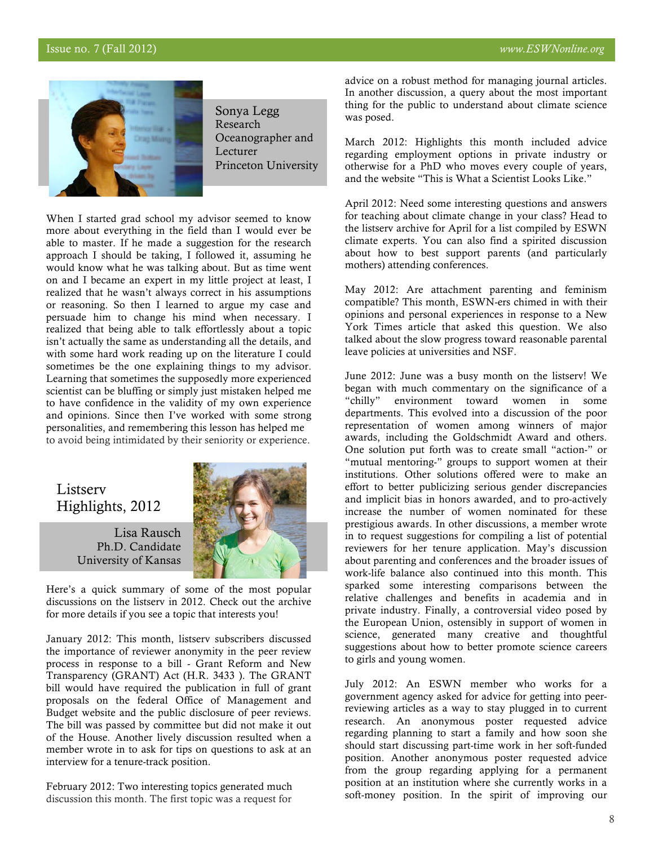### Issue no. 7 (Fall 2012) *www.ESWNonline.org*



Sonya Legg Research Oceanographer and Lecturer Princeton University

When I started grad school my advisor seemed to know more about everything in the field than I would ever be able to master. If he made a suggestion for the research approach I should be taking, I followed it, assuming he would know what he was talking about. But as time went on and I became an expert in my little project at least, I realized that he wasn't always correct in his assumptions or reasoning. So then I learned to argue my case and persuade him to change his mind when necessary. I realized that being able to talk effortlessly about a topic isn't actually the same as understanding all the details, and with some hard work reading up on the literature I could sometimes be the one explaining things to my advisor. Learning that sometimes the supposedly more experienced scientist can be bluffing or simply just mistaken helped me to have confidence in the validity of my own experience and opinions. Since then I've worked with some strong personalities, and remembering this lesson has helped me to avoid being intimidated by their seniority or experience.

# Listserv Highlights, 2012

Lisa Rausch Ph.D. Candidate University of Kansas



Here's a quick summary of some of the most popular discussions on the listserv in 2012. Check out the archive for more details if you see a topic that interests you!

January 2012: This month, listserv subscribers discussed the importance of reviewer anonymity in the peer review process in response to a bill - Grant Reform and New Transparency (GRANT) Act (H.R. 3433 ). The GRANT bill would have required the publication in full of grant proposals on the federal Office of Management and Budget website and the public disclosure of peer reviews. The bill was passed by committee but did not make it out of the House. Another lively discussion resulted when a member wrote in to ask for tips on questions to ask at an interview for a tenure-track position.

February 2012: Two interesting topics generated much discussion this month. The first topic was a request for

 advice on a robust method for managing journal articles. In another discussion, a query about the most important thing for the public to understand about climate science was posed.

March 2012: Highlights this month included advice regarding employment options in private industry or otherwise for a PhD who moves every couple of years, and the website "This is What a Scientist Looks Like."

April 2012: Need some interesting questions and answers for teaching about climate change in your class? Head to the listserv archive for April for a list compiled by ESWN climate experts. You can also find a spirited discussion about how to best support parents (and particularly mothers) attending conferences.

May 2012: Are attachment parenting and feminism compatible? This month, ESWN-ers chimed in with their opinions and personal experiences in response to a New York Times article that asked this question. We also talked about the slow progress toward reasonable parental leave policies at universities and NSF.

June 2012: June was a busy month on the listserv! We began with much commentary on the significance of a "chilly" environment toward women in some departments. This evolved into a discussion of the poor representation of women among winners of major awards, including the Goldschmidt Award and others. One solution put forth was to create small "action-" or "mutual mentoring-" groups to support women at their institutions. Other solutions offered were to make an effort to better publicizing serious gender discrepancies and implicit bias in honors awarded, and to pro-actively increase the number of women nominated for these prestigious awards. In other discussions, a member wrote in to request suggestions for compiling a list of potential reviewers for her tenure application. May's discussion about parenting and conferences and the broader issues of work-life balance also continued into this month. This sparked some interesting comparisons between the relative challenges and benefits in academia and in private industry. Finally, a controversial video posed by the European Union, ostensibly in support of women in science, generated many creative and thoughtful suggestions about how to better promote science careers to girls and young women.

July 2012: An ESWN member who works for a government agency asked for advice for getting into peerreviewing articles as a way to stay plugged in to current research. An anonymous poster requested advice regarding planning to start a family and how soon she should start discussing part-time work in her soft-funded position. Another anonymous poster requested advice from the group regarding applying for a permanent position at an institution where she currently works in a soft-money position. In the spirit of improving our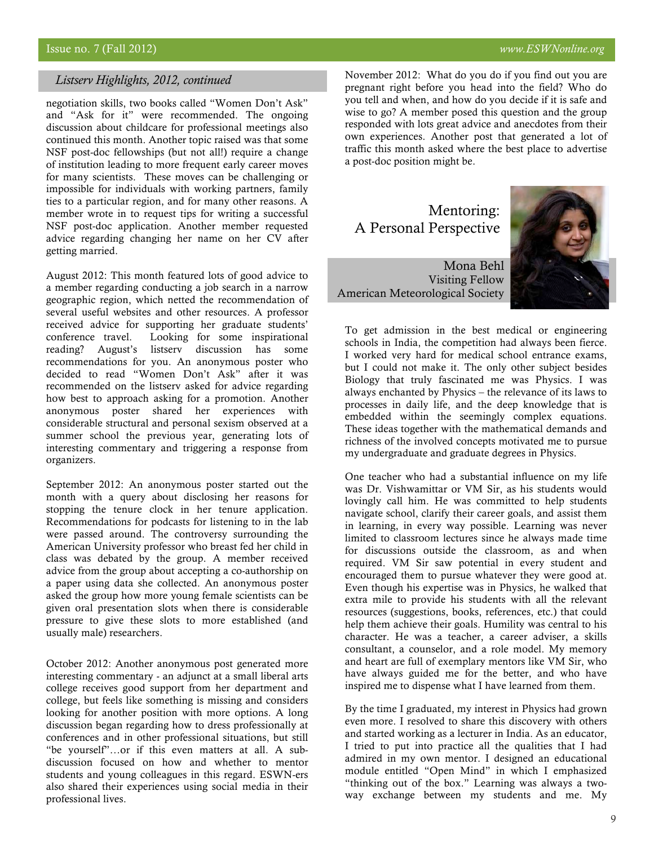#### *Listserv Highlights, 2012, continued*

negotiation skills, two books called "Women Don't Ask" and "Ask for it" were recommended. The ongoing discussion about childcare for professional meetings also continued this month. Another topic raised was that some NSF post-doc fellowships (but not all!) require a change of institution leading to more frequent early career moves for many scientists. These moves can be challenging or impossible for individuals with working partners, family ties to a particular region, and for many other reasons. A member wrote in to request tips for writing a successful NSF post-doc application. Another member requested advice regarding changing her name on her CV after getting married.

August 2012: This month featured lots of good advice to a member regarding conducting a job search in a narrow geographic region, which netted the recommendation of several useful websites and other resources. A professor received advice for supporting her graduate students' conference travel. Looking for some inspirational reading? August's listserv discussion has some recommendations for you. An anonymous poster who decided to read "Women Don't Ask" after it was recommended on the listserv asked for advice regarding how best to approach asking for a promotion. Another anonymous poster shared her experiences with considerable structural and personal sexism observed at a summer school the previous year, generating lots of interesting commentary and triggering a response from organizers.

September 2012: An anonymous poster started out the month with a query about disclosing her reasons for stopping the tenure clock in her tenure application. Recommendations for podcasts for listening to in the lab were passed around. The controversy surrounding the American University professor who breast fed her child in class was debated by the group. A member received advice from the group about accepting a co-authorship on a paper using data she collected. An anonymous poster asked the group how more young female scientists can be given oral presentation slots when there is considerable pressure to give these slots to more established (and usually male) researchers.

October 2012: Another anonymous post generated more interesting commentary - an adjunct at a small liberal arts college receives good support from her department and college, but feels like something is missing and considers looking for another position with more options. A long discussion began regarding how to dress professionally at conferences and in other professional situations, but still "be yourself"…or if this even matters at all. A subdiscussion focused on how and whether to mentor students and young colleagues in this regard. ESWN-ers also shared their experiences using social media in their professional lives.

November 2012: What do you do if you find out you are pregnant right before you head into the field? Who do you tell and when, and how do you decide if it is safe and wise to go? A member posed this question and the group responded with lots great advice and anecdotes from their own experiences. Another post that generated a lot of traffic this month asked where the best place to advertise a post-doc position might be.

# Mentoring: A Personal Perspective

Mona Behl Visiting Fellow American Meteorological Society



To get admission in the best medical or engineering schools in India, the competition had always been fierce. I worked very hard for medical school entrance exams, but I could not make it. The only other subject besides Biology that truly fascinated me was Physics. I was always enchanted by Physics – the relevance of its laws to processes in daily life, and the deep knowledge that is embedded within the seemingly complex equations. These ideas together with the mathematical demands and richness of the involved concepts motivated me to pursue my undergraduate and graduate degrees in Physics.

One teacher who had a substantial influence on my life was Dr. Vishwamittar or VM Sir, as his students would lovingly call him. He was committed to help students navigate school, clarify their career goals, and assist them in learning, in every way possible. Learning was never limited to classroom lectures since he always made time for discussions outside the classroom, as and when required. VM Sir saw potential in every student and encouraged them to pursue whatever they were good at. Even though his expertise was in Physics, he walked that extra mile to provide his students with all the relevant resources (suggestions, books, references, etc.) that could help them achieve their goals. Humility was central to his character. He was a teacher, a career adviser, a skills consultant, a counselor, and a role model. My memory and heart are full of exemplary mentors like VM Sir, who have always guided me for the better, and who have inspired me to dispense what I have learned from them.

By the time I graduated, my interest in Physics had grown even more. I resolved to share this discovery with others and started working as a lecturer in India. As an educator, I tried to put into practice all the qualities that I had admired in my own mentor. I designed an educational module entitled "Open Mind" in which I emphasized "thinking out of the box." Learning was always a twoway exchange between my students and me. My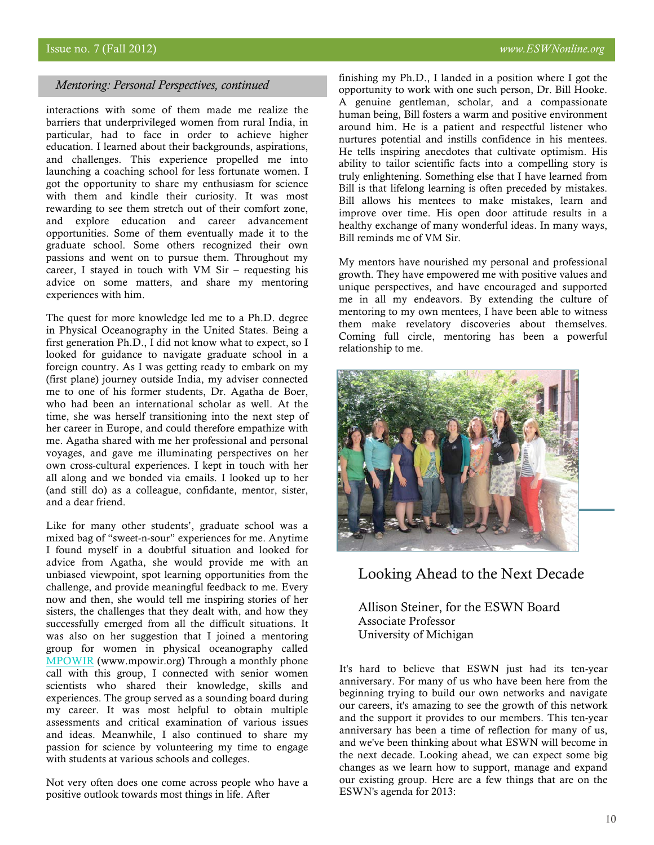#### *Mentoring: Personal Perspectives, continued*

interactions with some of them made me realize the barriers that underprivileged women from rural India, in particular, had to face in order to achieve higher education. I learned about their backgrounds, aspirations, and challenges. This experience propelled me into launching a coaching school for less fortunate women. I got the opportunity to share my enthusiasm for science with them and kindle their curiosity. It was most rewarding to see them stretch out of their comfort zone, and explore education and career advancement opportunities. Some of them eventually made it to the graduate school. Some others recognized their own passions and went on to pursue them. Throughout my career, I stayed in touch with VM Sir – requesting his advice on some matters, and share my mentoring experiences with him.

The quest for more knowledge led me to a Ph.D. degree in Physical Oceanography in the United States. Being a first generation Ph.D., I did not know what to expect, so I looked for guidance to navigate graduate school in a foreign country. As I was getting ready to embark on my (first plane) journey outside India, my adviser connected me to one of his former students, Dr. Agatha de Boer, who had been an international scholar as well. At the time, she was herself transitioning into the next step of her career in Europe, and could therefore empathize with me. Agatha shared with me her professional and personal voyages, and gave me illuminating perspectives on her own cross-cultural experiences. I kept in touch with her all along and we bonded via emails. I looked up to her (and still do) as a colleague, confidante, mentor, sister, and a dear friend.

Like for many other students', graduate school was a mixed bag of "sweet-n-sour" experiences for me. Anytime I found myself in a doubtful situation and looked for advice from Agatha, she would provide me with an unbiased viewpoint, spot learning opportunities from the challenge, and provide meaningful feedback to me. Every now and then, she would tell me inspiring stories of her sisters, the challenges that they dealt with, and how they successfully emerged from all the difficult situations. It was also on her suggestion that I joined a mentoring group for women in physical oceanography called MPOWIR (www.mpowir.org) Through a monthly phone call with this group, I connected with senior women scientists who shared their knowledge, skills and experiences. The group served as a sounding board during my career. It was most helpful to obtain multiple assessments and critical examination of various issues and ideas. Meanwhile, I also continued to share my passion for science by volunteering my time to engage with students at various schools and colleges.

Not very often does one come across people who have a positive outlook towards most things in life. After

finishing my Ph.D., I landed in a position where I got the opportunity to work with one such person, Dr. Bill Hooke. A genuine gentleman, scholar, and a compassionate human being, Bill fosters a warm and positive environment around him. He is a patient and respectful listener who nurtures potential and instills confidence in his mentees. He tells inspiring anecdotes that cultivate optimism. His ability to tailor scientific facts into a compelling story is truly enlightening. Something else that I have learned from Bill is that lifelong learning is often preceded by mistakes. Bill allows his mentees to make mistakes, learn and improve over time. His open door attitude results in a healthy exchange of many wonderful ideas. In many ways, Bill reminds me of VM Sir.

My mentors have nourished my personal and professional growth. They have empowered me with positive values and unique perspectives, and have encouraged and supported me in all my endeavors. By extending the culture of mentoring to my own mentees, I have been able to witness them make revelatory discoveries about themselves. Coming full circle, mentoring has been a powerful relationship to me.



Looking Ahead to the Next Decade

Allison Steiner, for the ESWN Board Associate Professor University of Michigan

It's hard to believe that ESWN just had its ten-year anniversary. For many of us who have been here from the beginning trying to build our own networks and navigate our careers, it's amazing to see the growth of this network and the support it provides to our members. This ten-year anniversary has been a time of reflection for many of us, and we've been thinking about what ESWN will become in the next decade. Looking ahead, we can expect some big changes as we learn how to support, manage and expand our existing group. Here are a few things that are on the ESWN's agenda for 2013: